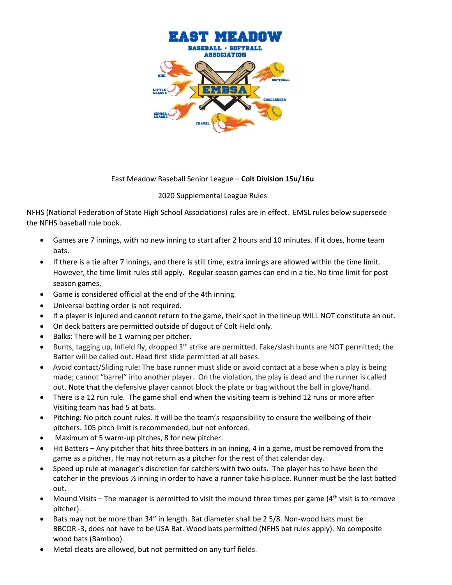

## East Meadow Baseball Senior League – **Colt Division 15u/16u**

## 2020 Supplemental League Rules

NFHS (National Federation of State High School Associations) rules are in effect. EMSL rules below supersede the NFHS baseball rule book.

- Games are 7 innings, with no new inning to start after 2 hours and 10 minutes. If it does, home team bats.
- If there is a tie after 7 innings, and there is still time, extra innings are allowed within the time limit. However, the time limit rules still apply. Regular season games can end in a tie. No time limit for post season games.
- Game is considered official at the end of the 4th inning.
- Universal batting order is not required.
- If a player is injured and cannot return to the game, their spot in the lineup WILL NOT constitute an out.
- On deck batters are permitted outside of dugout of Colt Field only.
- Balks: There will be 1 warning per pitcher.
- Bunts, tagging up, Infield fly, dropped 3<sup>rd</sup> strike are permitted. Fake/slash bunts are NOT permitted; the Batter will be called out. Head first slide permitted at all bases.
- Avoid contact/Sliding rule: The base runner must slide or avoid contact at a base when a play is being made; cannot "barrel" into another player. On the violation, the play is dead and the runner is called out. Note that the defensive player cannot block the plate or bag without the ball in glove/hand.
- There is a 12 run rule. The game shall end when the visiting team is behind 12 runs or more after Visiting team has had 5 at bats.
- Pitching: No pitch count rules. It will be the team's responsibility to ensure the wellbeing of their pitchers. 105 pitch limit is recommended, but not enforced.
- Maximum of 5 warm-up pitches, 8 for new pitcher.
- Hit Batters Any pitcher that hits three batters in an inning, 4 in a game, must be removed from the game as a pitcher. He may not return as a pitcher for the rest of that calendar day.
- Speed up rule at manager's discretion for catchers with two outs. The player has to have been the catcher in the previous ½ inning in order to have a runner take his place. Runner must be the last batted out.
- Mound Visits The manager is permitted to visit the mound three times per game  $(4<sup>th</sup>$  visit is to remove pitcher).
- Bats may not be more than 34" in length. Bat diameter shall be 2 5/8. Non-wood bats must be BBCOR -3, does not have to be USA Bat. Wood bats permitted (NFHS bat rules apply). No composite wood bats (Bamboo).
- Metal cleats are allowed, but not permitted on any turf fields.